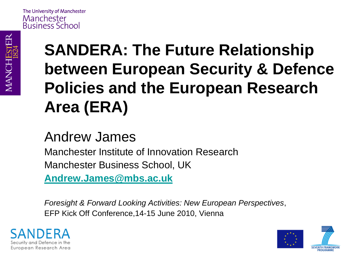### **SANDERA: The Future Relationship between European Security & Defence Policies and the European Research Area (ERA)**

#### Andrew James

Manchester Institute of Innovation Research Manchester Business School, UK

**[Andrew.James@mbs.ac.uk](mailto:Andrew.James@mbs.ac.uk)**

*Foresight & Forward Looking Activities: New European Perspectives*, EFP Kick Off Conference,14-15 June 2010, Vienna



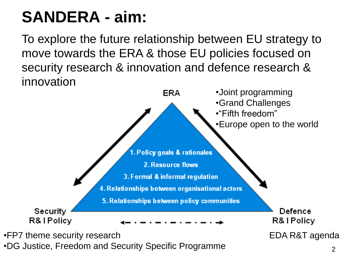#### **SANDERA - aim:**

To explore the future relationship between EU strategy to move towards the ERA & those EU policies focused on security research & innovation and defence research & innovation



•DG Justice, Freedom and Security Specific Programme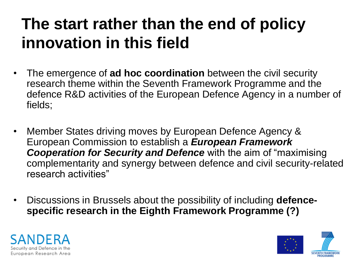#### **The start rather than the end of policy innovation in this field**

- The emergence of **ad hoc coordination** between the civil security research theme within the Seventh Framework Programme and the defence R&D activities of the European Defence Agency in a number of fields;
- Member States driving moves by European Defence Agency & European Commission to establish a *European Framework Cooperation for Security and Defence* with the aim of "maximising complementarity and synergy between defence and civil security-related research activities"
- Discussions in Brussels about the possibility of including **defencespecific research in the Eighth Framework Programme (?)**



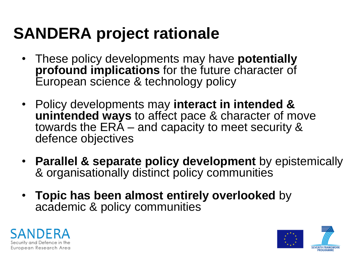### **SANDERA project rationale**

- These policy developments may have **potentially profound implications** for the future character of European science & technology policy
- Policy developments may **interact in intended & unintended ways** to affect pace & character of move towards the ERA – and capacity to meet security & defence objectives
- **Parallel & separate policy development** by epistemically & organisationally distinct policy communities
- **Topic has been almost entirely overlooked** by academic & policy communities



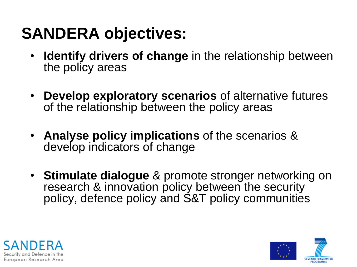#### **SANDERA objectives:**

- **Identify drivers of change** in the relationship between the policy areas
- **Develop exploratory scenarios** of alternative futures of the relationship between the policy areas
- **Analyse policy implications** of the scenarios & develop indicators of change
- **Stimulate dialogue** & promote stronger networking on research & innovation policy between the security policy, defence policy and S&T policy communities



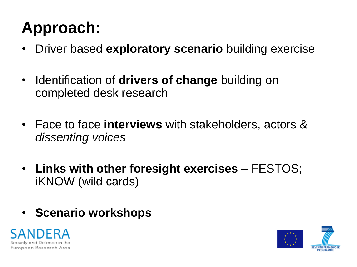### **Approach:**

- Driver based **exploratory scenario** building exercise
- Identification of **drivers of change** building on completed desk research
- Face to face **interviews** with stakeholders, actors & *dissenting voices*
- **Links with other foresight exercises** FESTOS; iKNOW (wild cards)
- **Scenario workshops**



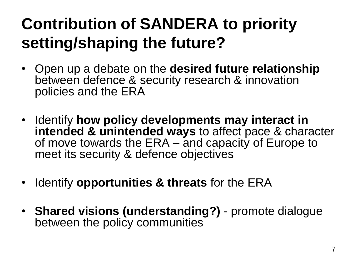### **Contribution of SANDERA to priority setting/shaping the future?**

- Open up a debate on the **desired future relationship** between defence & security research & innovation policies and the ERA
- Identify **how policy developments may interact in intended & unintended ways** to affect pace & character of move towards the ERA – and capacity of Europe to meet its security & defence objectives
- Identify **opportunities & threats** for the ERA
- **Shared visions (understanding?)** promote dialogue between the policy communities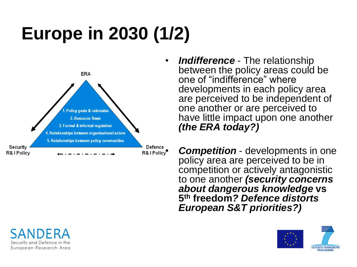# **Europe in 2030 (1/2)**



• *Indifference* - The relationship between the policy areas could be one of "indifference" where developments in each policy area are perceived to be independent of one another or are perceived to have little impact upon one another *(the ERA today?)*

**Example 20 Competition** - developments in one policy area are perceived to be in competition or actively antagonistic to one another *(security concerns about dangerous knowledge* **vs 5 th freedom***? Defence distorts European S&T priorities?)*





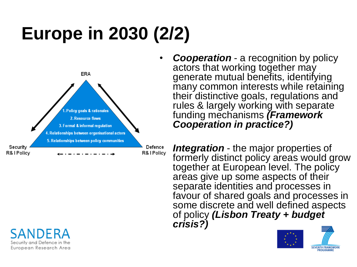# **Europe in 2030 (2/2)**



Security and Defence in the European Research Area

• *Cooperation* - a recognition by policy actors that working together may generate mutual benefits, identifying many common interests while retaining their distinctive goals, regulations and rules & largely working with separate funding mechanisms *(Framework Cooperation in practice?)*

*Pefence* Integration - the major properties of formerly distinct policy areas would grow together at European level. The policy areas give up some aspects of their separate identities and processes in favour of shared goals and processes in some discrete and well defined aspects of policy *(Lisbon Treaty + budget crisis?)*